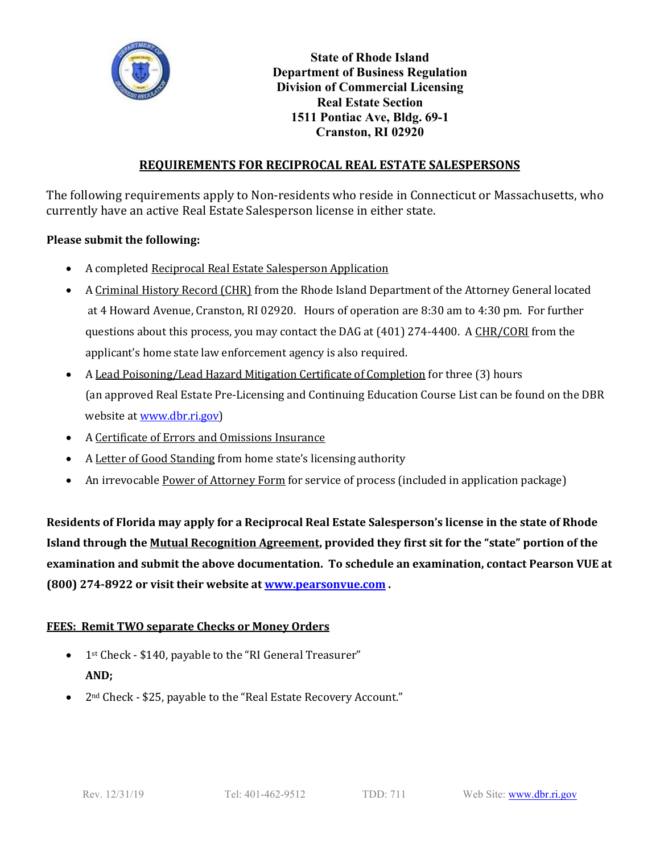

**State of Rhode Island Department of Business Regulation Division of Commercial Licensing Real Estate Section 1511 Pontiac Ave, Bldg. 69-1 Cranston, RI 02920**

# **REQUIREMENTS FOR RECIPROCAL REAL ESTATE SALESPERSONS**

The following requirements apply to Non-residents who reside in Connecticut or Massachusetts, who currently have an active Real Estate Salesperson license in either state.

## **Please submit the following:**

- A completed Reciprocal Real Estate Salesperson Application
- A Criminal History Record (CHR) from the Rhode Island Department of the Attorney General located at 4 Howard Avenue, Cranston, RI 02920. Hours of operation are 8:30 am to 4:30 pm. For further questions about this process, you may contact the DAG at (401) 274-4400. A CHR/CORI from the applicant's home state law enforcement agency is also required.
- A Lead Poisoning/Lead Hazard Mitigation Certificate of Completion for three (3) hours (an approved [Real Estate Pre-Licensing and Continuing Education Course](http://www.dbr.ri.gov/documents/divisions/commlicensing/realestate/RE-CE_Course_List.pdf) List can be found on the DBR website at [www.dbr.ri.gov\)](http://www.dbr.ri.gov/)
- A Certificate of Errors and Omissions Insurance
- A Letter of Good Standing from home state's licensing authority
- An irrevocable Power of Attorney Form for service of process (included in application package)

**Residents of Florida may apply for a Reciprocal Real Estate Salesperson's license in the state of Rhode Island through the Mutual Recognition Agreement, provided they first sit for the "state" portion of the examination and submit the above documentation. To schedule an examination, contact Pearson VUE at (800) 274-8922 or visit their website a[t www.pearsonvue.com](http://www.pearsonvue.com/) .**

## **FEES: Remit TWO separate Checks or Money Orders**

- 1<sup>st</sup> Check \$140, payable to the "RI General Treasurer" **AND;**
- 2<sup>nd</sup> Check \$25, payable to the "Real Estate Recovery Account."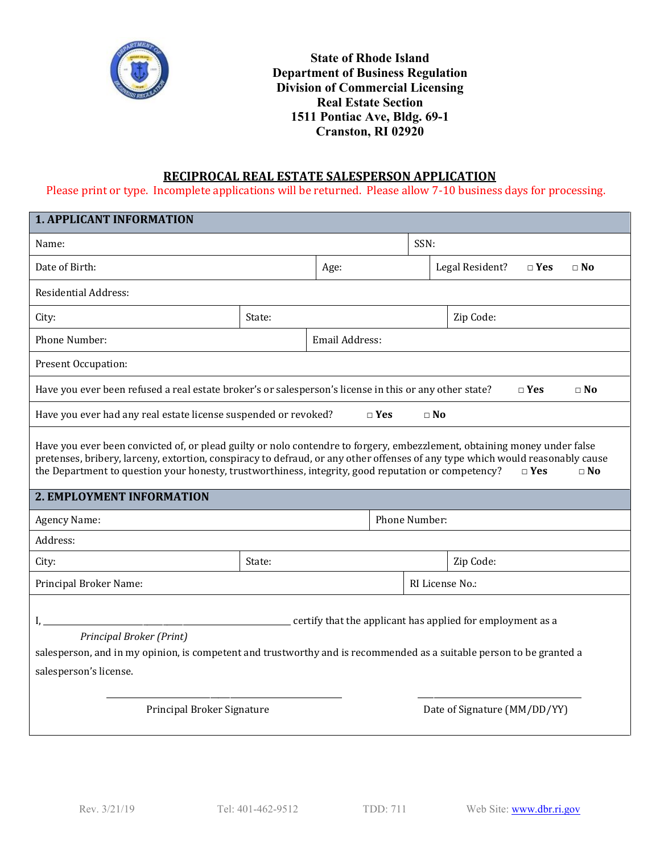

# **RECIPROCAL REAL ESTATE SALESPERSON APPLICATION**

Please print or type. Incomplete applications will be returned. Please allow 7-10 business days for processing.

| <b>1. APPLICANT INFORMATION</b>                                                                                                                                                                                                                                                                                                                                                                |                |           |  |                              |                                            |  |  |
|------------------------------------------------------------------------------------------------------------------------------------------------------------------------------------------------------------------------------------------------------------------------------------------------------------------------------------------------------------------------------------------------|----------------|-----------|--|------------------------------|--------------------------------------------|--|--|
| Name:                                                                                                                                                                                                                                                                                                                                                                                          |                |           |  | SSN:                         |                                            |  |  |
| Date of Birth:                                                                                                                                                                                                                                                                                                                                                                                 |                | Age:      |  |                              | Legal Resident?<br>$\neg$ Yes<br>$\Box$ No |  |  |
| <b>Residential Address:</b>                                                                                                                                                                                                                                                                                                                                                                    |                |           |  |                              |                                            |  |  |
| City:                                                                                                                                                                                                                                                                                                                                                                                          | State:         | Zip Code: |  |                              |                                            |  |  |
| Phone Number:                                                                                                                                                                                                                                                                                                                                                                                  | Email Address: |           |  |                              |                                            |  |  |
| Present Occupation:                                                                                                                                                                                                                                                                                                                                                                            |                |           |  |                              |                                            |  |  |
| Have you ever been refused a real estate broker's or salesperson's license in this or any other state?<br>$\Box$ Yes<br>$\Box$ No                                                                                                                                                                                                                                                              |                |           |  |                              |                                            |  |  |
| Have you ever had any real estate license suspended or revoked?<br>$\square$ No<br>$\sqcap$ Yes                                                                                                                                                                                                                                                                                                |                |           |  |                              |                                            |  |  |
| Have you ever been convicted of, or plead guilty or nolo contendre to forgery, embezzlement, obtaining money under false<br>pretenses, bribery, larceny, extortion, conspiracy to defraud, or any other offenses of any type which would reasonably cause<br>the Department to question your honesty, trustworthiness, integrity, good reputation or competency?<br>$\square$ No<br>$\Box$ Yes |                |           |  |                              |                                            |  |  |
| 2. EMPLOYMENT INFORMATION                                                                                                                                                                                                                                                                                                                                                                      |                |           |  |                              |                                            |  |  |
| Agency Name:                                                                                                                                                                                                                                                                                                                                                                                   |                |           |  | Phone Number:                |                                            |  |  |
| Address:                                                                                                                                                                                                                                                                                                                                                                                       |                |           |  |                              |                                            |  |  |
| City:                                                                                                                                                                                                                                                                                                                                                                                          | State:         |           |  |                              | Zip Code:                                  |  |  |
| Principal Broker Name:                                                                                                                                                                                                                                                                                                                                                                         |                |           |  | RI License No.:              |                                            |  |  |
| certify that the applicant has applied for employment as a<br>Principal Broker (Print)<br>salesperson, and in my opinion, is competent and trustworthy and is recommended as a suitable person to be granted a<br>salesperson's license.                                                                                                                                                       |                |           |  |                              |                                            |  |  |
| Principal Broker Signature                                                                                                                                                                                                                                                                                                                                                                     |                |           |  | Date of Signature (MM/DD/YY) |                                            |  |  |